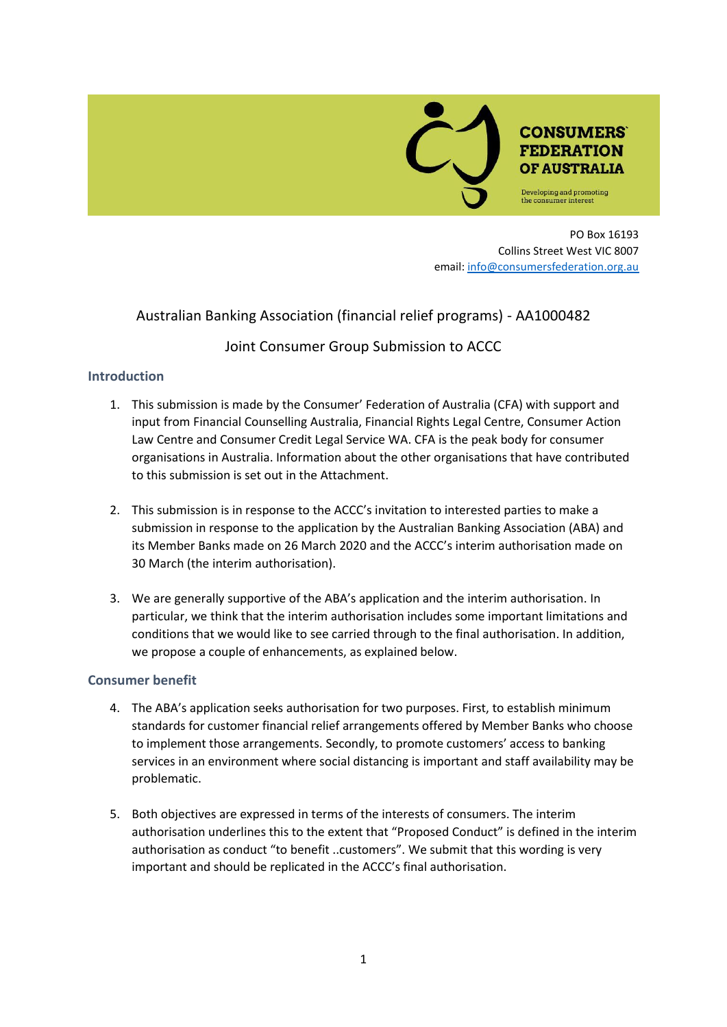

PO Box 16193 Collins Street West VIC 8007 email: [info@consumersfederation.org.au](mailto:info@consumersfederation.org.au)

## Australian Banking Association (financial relief programs) - AA1000482

# Joint Consumer Group Submission to ACCC

### **Introduction**

- 1. This submission is made by the Consumer' Federation of Australia (CFA) with support and input from Financial Counselling Australia, Financial Rights Legal Centre, Consumer Action Law Centre and Consumer Credit Legal Service WA. CFA is the peak body for consumer organisations in Australia. Information about the other organisations that have contributed to this submission is set out in the Attachment.
- 2. This submission is in response to the ACCC's invitation to interested parties to make a submission in response to the application by the Australian Banking Association (ABA) and its Member Banks made on 26 March 2020 and the ACCC's interim authorisation made on 30 March (the interim authorisation).
- 3. We are generally supportive of the ABA's application and the interim authorisation. In particular, we think that the interim authorisation includes some important limitations and conditions that we would like to see carried through to the final authorisation. In addition, we propose a couple of enhancements, as explained below.

### **Consumer benefit**

- 4. The ABA's application seeks authorisation for two purposes. First, to establish minimum standards for customer financial relief arrangements offered by Member Banks who choose to implement those arrangements. Secondly, to promote customers' access to banking services in an environment where social distancing is important and staff availability may be problematic.
- 5. Both objectives are expressed in terms of the interests of consumers. The interim authorisation underlines this to the extent that "Proposed Conduct" is defined in the interim authorisation as conduct "to benefit ..customers". We submit that this wording is very important and should be replicated in the ACCC's final authorisation.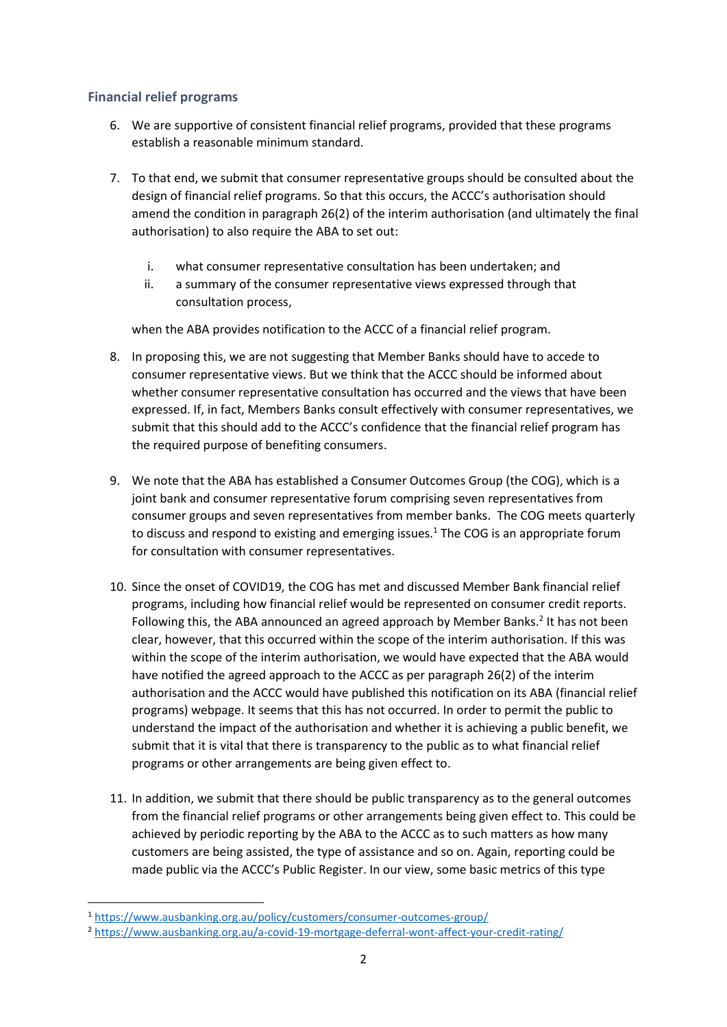### **Financial relief programs**

- 6. We are supportive of consistent financial relief programs, provided that these programs establish a reasonable minimum standard.
- 7. To that end, we submit that consumer representative groups should be consulted about the design of financial relief programs. So that this occurs, the ACCC's authorisation should amend the condition in paragraph 26(2) of the interim authorisation (and ultimately the final authorisation) to also require the ABA to set out:
	- i. what consumer representative consultation has been undertaken; and
	- ii. a summary of the consumer representative views expressed through that consultation process,

when the ABA provides notification to the ACCC of a financial relief program.

- 8. In proposing this, we are not suggesting that Member Banks should have to accede to consumer representative views. But we think that the ACCC should be informed about whether consumer representative consultation has occurred and the views that have been expressed. If, in fact, Members Banks consult effectively with consumer representatives, we submit that this should add to the ACCC's confidence that the financial relief program has the required purpose of benefiting consumers.
- 9. We note that the ABA has established a Consumer Outcomes Group (the COG), which is a joint bank and consumer representative forum comprising seven representatives from consumer groups and seven representatives from member banks. The COG meets quarterly to discuss and respond to existing and emerging issues.<sup>1</sup> The COG is an appropriate forum for consultation with consumer representatives.
- 10. Since the onset of COVID19, the COG has met and discussed Member Bank financial relief programs, including how financial relief would be represented on consumer credit reports. Following this, the ABA announced an agreed approach by Member Banks.<sup>2</sup> It has not been clear, however, that this occurred within the scope of the interim authorisation. If this was within the scope of the interim authorisation, we would have expected that the ABA would have notified the agreed approach to the ACCC as per paragraph 26(2) of the interim authorisation and the ACCC would have published this notification on its ABA (financial relief programs) webpage. It seems that this has not occurred. In order to permit the public to understand the impact of the authorisation and whether it is achieving a public benefit, we submit that it is vital that there is transparency to the public as to what financial relief programs or other arrangements are being given effect to.
- 11. In addition, we submit that there should be public transparency as to the general outcomes from the financial relief programs or other arrangements being given effect to. This could be achieved by periodic reporting by the ABA to the ACCC as to such matters as how many customers are being assisted, the type of assistance and so on. Again, reporting could be made public via the ACCC's Public Register. In our view, some basic metrics of this type

<sup>1</sup> <https://www.ausbanking.org.au/policy/customers/consumer-outcomes-group/>

<sup>2</sup> <https://www.ausbanking.org.au/a-covid-19-mortgage-deferral-wont-affect-your-credit-rating/>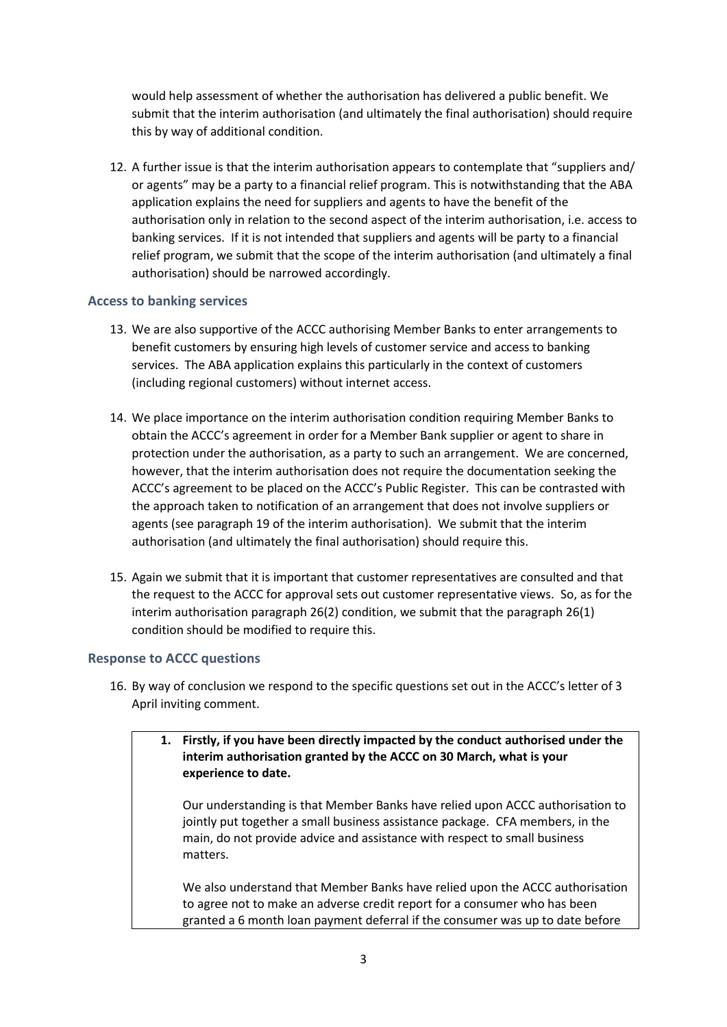would help assessment of whether the authorisation has delivered a public benefit. We submit that the interim authorisation (and ultimately the final authorisation) should require this by way of additional condition.

12. A further issue is that the interim authorisation appears to contemplate that "suppliers and/ or agents" may be a party to a financial relief program. This is notwithstanding that the ABA application explains the need for suppliers and agents to have the benefit of the authorisation only in relation to the second aspect of the interim authorisation, i.e. access to banking services. If it is not intended that suppliers and agents will be party to a financial relief program, we submit that the scope of the interim authorisation (and ultimately a final authorisation) should be narrowed accordingly.

### **Access to banking services**

- 13. We are also supportive of the ACCC authorising Member Banks to enter arrangements to benefit customers by ensuring high levels of customer service and access to banking services. The ABA application explains this particularly in the context of customers (including regional customers) without internet access.
- 14. We place importance on the interim authorisation condition requiring Member Banks to obtain the ACCC's agreement in order for a Member Bank supplier or agent to share in protection under the authorisation, as a party to such an arrangement. We are concerned, however, that the interim authorisation does not require the documentation seeking the ACCC's agreement to be placed on the ACCC's Public Register. This can be contrasted with the approach taken to notification of an arrangement that does not involve suppliers or agents (see paragraph 19 of the interim authorisation). We submit that the interim authorisation (and ultimately the final authorisation) should require this.
- 15. Again we submit that it is important that customer representatives are consulted and that the request to the ACCC for approval sets out customer representative views. So, as for the interim authorisation paragraph 26(2) condition, we submit that the paragraph 26(1) condition should be modified to require this.

### **Response to ACCC questions**

- 16. By way of conclusion we respond to the specific questions set out in the ACCC's letter of 3 April inviting comment.
	- **1. Firstly, if you have been directly impacted by the conduct authorised under the interim authorisation granted by the ACCC on 30 March, what is your experience to date.**

Our understanding is that Member Banks have relied upon ACCC authorisation to jointly put together a small business assistance package. CFA members, in the main, do not provide advice and assistance with respect to small business matters.

We also understand that Member Banks have relied upon the ACCC authorisation to agree not to make an adverse credit report for a consumer who has been granted a 6 month loan payment deferral if the consumer was up to date before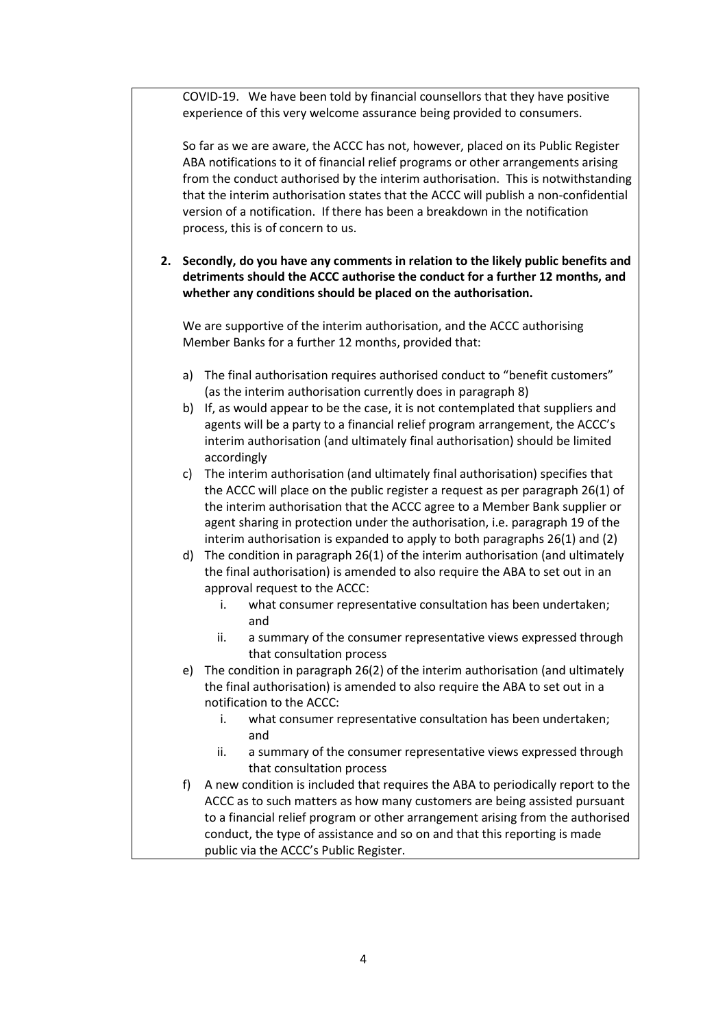COVID-19. We have been told by financial counsellors that they have positive experience of this very welcome assurance being provided to consumers.

So far as we are aware, the ACCC has not, however, placed on its Public Register ABA notifications to it of financial relief programs or other arrangements arising from the conduct authorised by the interim authorisation. This is notwithstanding that the interim authorisation states that the ACCC will publish a non-confidential version of a notification. If there has been a breakdown in the notification process, this is of concern to us.

**2. Secondly, do you have any comments in relation to the likely public benefits and detriments should the ACCC authorise the conduct for a further 12 months, and whether any conditions should be placed on the authorisation.**

We are supportive of the interim authorisation, and the ACCC authorising Member Banks for a further 12 months, provided that:

- a) The final authorisation requires authorised conduct to "benefit customers" (as the interim authorisation currently does in paragraph 8)
- b) If, as would appear to be the case, it is not contemplated that suppliers and agents will be a party to a financial relief program arrangement, the ACCC's interim authorisation (and ultimately final authorisation) should be limited accordingly
- c) The interim authorisation (and ultimately final authorisation) specifies that the ACCC will place on the public register a request as per paragraph 26(1) of the interim authorisation that the ACCC agree to a Member Bank supplier or agent sharing in protection under the authorisation, i.e. paragraph 19 of the interim authorisation is expanded to apply to both paragraphs 26(1) and (2)
- d) The condition in paragraph 26(1) of the interim authorisation (and ultimately the final authorisation) is amended to also require the ABA to set out in an approval request to the ACCC:
	- i. what consumer representative consultation has been undertaken; and
	- ii. a summary of the consumer representative views expressed through that consultation process
- e) The condition in paragraph 26(2) of the interim authorisation (and ultimately the final authorisation) is amended to also require the ABA to set out in a notification to the ACCC:
	- i. what consumer representative consultation has been undertaken; and
	- ii. a summary of the consumer representative views expressed through that consultation process
- f) A new condition is included that requires the ABA to periodically report to the ACCC as to such matters as how many customers are being assisted pursuant to a financial relief program or other arrangement arising from the authorised conduct, the type of assistance and so on and that this reporting is made public via the ACCC's Public Register.